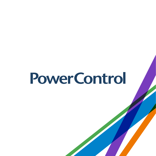# **Power Control**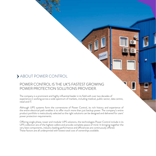### ABOUT POWER CONTROL

#### POWER CONTROL IS THE UK'S FASTEST GROWING POWER PROTECTION SOLUTIONS PROVIDER.

The company is a prominent and highly influential leader in its field with over two decades of experience in working across a wide spectrum of markets, including medical, public sector, data centre, retail and IT.

a

Although UPS systems form the cornerstone of Power Control, its rich history and experience of the entire electrical path enables it to offer much more than just backup power. The company's entire product portfolio is meticulously selected so the right solutions can be designed and delivered for users' power protection requirements.

Offering single phase, tower and modular UPS solutions, the technologies Power Control include in its UPS collection are of the highest calibre and provide complete peace of mind. In bringing together the very best components, industry leading performance and efficiencies are continuously offered. These factors are all underpinned with lowest total cost of ownerships available.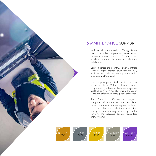

#### MAINTENANCE SUPPORT

With an all encompassing offering, Power Control provides complete maintenance and service solutions for most UPS brands and ancillaries such as batteries and electrical installations.

Located across the country, Power Control's team of highly trained engineers are fully equipped to undertake emergency reactive maintenance if required.

The company prides itself on its customer service and has a 24 hour call centre, which is operated by a team of technical engineers qualified to give immediate initial diagnosis of faults and offer step by step phone assistance.

Power Control also offers service packages to integrate maintenance for other associated server room infrastructure equipment including UPS and batteries, electrical installation testing, air conditioning services, generator servicing, fire suppression equipment and door entry systems.

SILVER LEVEL



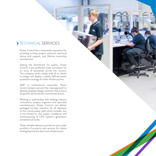#### TECHNICAL SERVICES

Power Control has a nationwide reputation for providing turnkey project solutions, technical advice and support, and lifetime ownership maintenance.

Setting the benchmark for quality, Power Control is the preferred trade consultant for an array of businesses across the country. The company works closely with all its clients to design and deploy a clearly defined power protection strategy for their infrastructures.

SME to multinational corporates, Power Control adopts a proven five-step approach to develop bespoke design solutions that achieve all specific technical and commercial drivers.

Working in partnership with leading industry contractors, project engineers and specialist manufacturers, Power Control can deliver packaged turnkey solutions for all elements of the critical power path which includes, but is not limited to, the supply, installation and commissioning of UPS systems, generators and electrical works.

These valuable alliances provide an even wider portfolio of products and services for clients looking beyond the electrical infrastructure.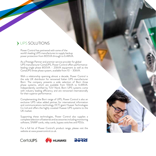## UPS SOLUTIONS

Power Control has partnered with some of the world's leading UPS manufactures to supply backup power protection from 800VA through to 6.4MVA.

As a Prestige Partner and premier service provider for global UPS manufacturer CertaUPS, Power Control offers performance leading single phase 800VA – 20kVA equipment as well as the CertaUPS three phase system, available from 10 – 30kVA.

With a relationship spanning almost a decade, Power Control is the sole UK distributor for renowned Italian UPS manufacturer Borri. The company presents a wide selection of Borri three phase systems, which are available from 10kVA to 6.4MVA. Independently certified by TÜV Nord, Borri UPS systems come with industry leading efficiency and are renowned internationally for their superior performance.

Complementing the Borri range of UPS, Power Control is also an exclusive UPS value added partner for international information and communications technology (ICT) giant Huawei Technologies Co Ltd and offers the highly coveted Huawei UPS systems to the UK market.

Supporting these technologies, Power Control also supplies a complete selection of batteries and accessories including monitoring software, SNMP cards, relay cards, bypass switches and PDUs.

For a full list of Power Control's product range, please visit the website at www.powercontrol.co.uk.





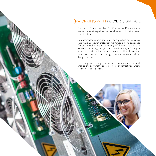#### WORKING WITH POWER CONTROL

Drawing on its two decades of UPS expertise Power Control has become an integral partner for all aspects of critical power infrastructure.

An unparalleled understanding of the sophisticated intricacies that make up power protection frameworks have positioned Power Control as not just a leading UPS specialist but as an expert in planning, design and commissioning of complex power protection solutions. It is a core provider of batteries, bypass switches, air conditioning, other ancillaries and tailored design solutions.

The company's strong partner and manufacturer network enables it to deliver efficient, sustainable and effective solutions for businesses of all sizes.